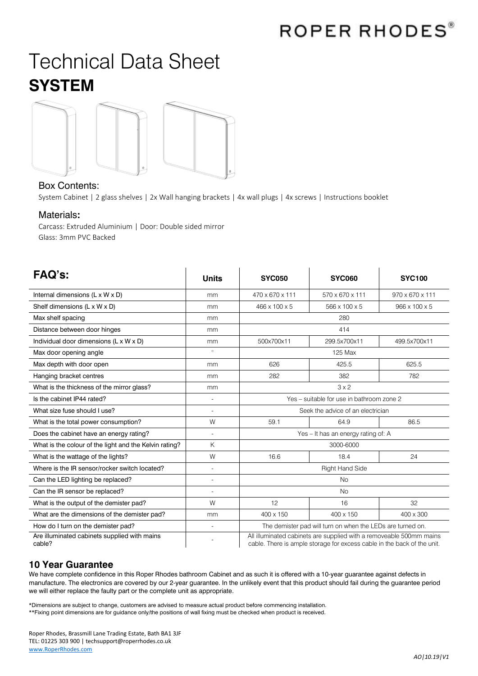## Technical Data Sheet **SYSTEM**



## Box Contents:

System Cabinet | 2 glass shelves | 2x Wall hanging brackets | 4x wall plugs | 4x screws | Instructions booklet

## Materials**:**

Carcass: Extruded Aluminium | Door: Double sided mirror Glass: 3mm PVC Backed

| <b>FAQ's:</b>                                          | <b>Units</b>   | <b>SYC050</b>                                                                                                                                  | <b>SYC060</b>   | <b>SYC100</b>   |
|--------------------------------------------------------|----------------|------------------------------------------------------------------------------------------------------------------------------------------------|-----------------|-----------------|
| Internal dimensions (L x W x D)                        | mm             | 470 x 670 x 111                                                                                                                                | 570 x 670 x 111 | 970 x 670 x 111 |
| Shelf dimensions (L x W x D)                           | mm             | 466 x 100 x 5                                                                                                                                  | 566 x 100 x 5   | 966 x 100 x 5   |
| Max shelf spacing                                      | mm             | 280                                                                                                                                            |                 |                 |
| Distance between door hinges                           | mm             | 414                                                                                                                                            |                 |                 |
| Individual door dimensions (L x W x D)                 | mm             | 500x700x11                                                                                                                                     | 299.5x700x11    | 499.5x700x11    |
| Max door opening angle                                 | $\circ$        | 125 Max                                                                                                                                        |                 |                 |
| Max depth with door open                               | mm             | 626                                                                                                                                            | 425.5           | 625.5           |
| Hanging bracket centres                                | mm             | 282                                                                                                                                            | 382             | 782             |
| What is the thickness of the mirror glass?             | mm             | 3x2                                                                                                                                            |                 |                 |
| Is the cabinet IP44 rated?                             | $\overline{a}$ | Yes - suitable for use in bathroom zone 2                                                                                                      |                 |                 |
| What size fuse should I use?                           | $\overline{a}$ | Seek the advice of an electrician                                                                                                              |                 |                 |
| What is the total power consumption?                   | W              | 59.1                                                                                                                                           | 64.9            | 86.5            |
| Does the cabinet have an energy rating?                | $\overline{a}$ | Yes - It has an energy rating of: A                                                                                                            |                 |                 |
| What is the colour of the light and the Kelvin rating? | Κ              | 3000-6000                                                                                                                                      |                 |                 |
| What is the wattage of the lights?                     | W              | 16.6                                                                                                                                           | 18.4            | 24              |
| Where is the IR sensor/rocker switch located?          | $\overline{a}$ | <b>Right Hand Side</b>                                                                                                                         |                 |                 |
| Can the LED lighting be replaced?                      | $\overline{a}$ | <b>No</b>                                                                                                                                      |                 |                 |
| Can the IR sensor be replaced?                         |                | <b>No</b>                                                                                                                                      |                 |                 |
| What is the output of the demister pad?                | W              | 12                                                                                                                                             | 16              | 32              |
| What are the dimensions of the demister pad?           | mm             | 400 x 150                                                                                                                                      | 400 x 150       | 400 x 300       |
| How do I turn on the demister pad?                     | $\overline{a}$ | The demister pad will turn on when the LEDs are turned on.                                                                                     |                 |                 |
| Are illuminated cabinets supplied with mains<br>cable? |                | All illuminated cabinets are supplied with a removeable 500mm mains<br>cable. There is ample storage for excess cable in the back of the unit. |                 |                 |

## **10 Year Guarantee**

We have complete confidence in this Roper Rhodes bathroom Cabinet and as such it is offered with a 10-year guarantee against defects in manufacture. The electronics are covered by our 2-year guarantee. In the unlikely event that this product should fail during the guarantee period we will either replace the faulty part or the complete unit as appropriate.

\*Dimensions are subject to change, customers are advised to measure actual product before commencing installation. \*\*Fixing point dimensions are for guidance only/the positions of wall fixing must be checked when product is received.